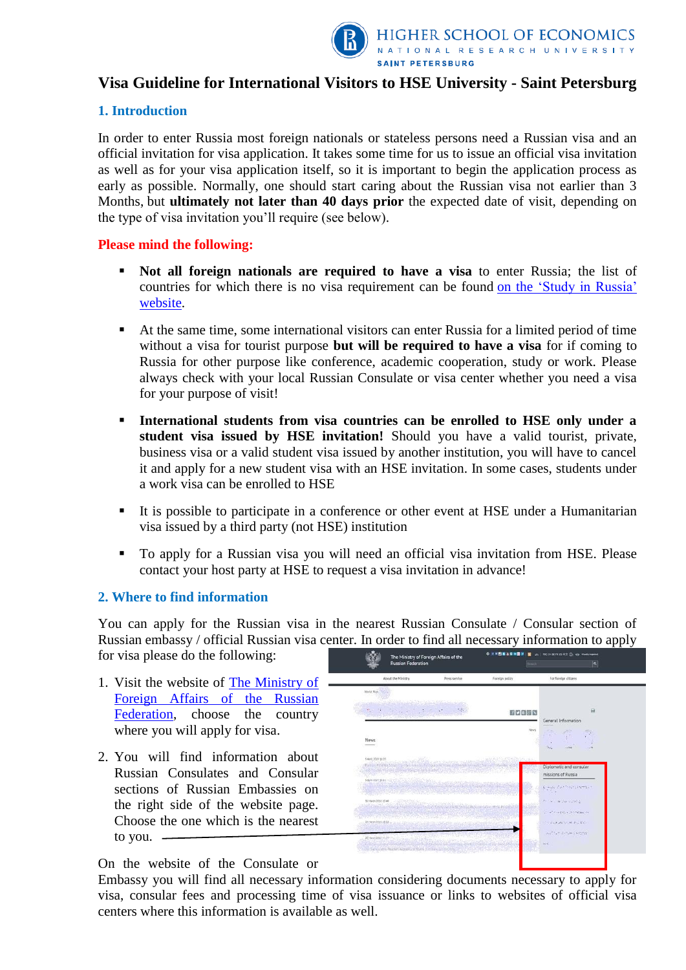

# **Visa Guideline for International Visitors to HSE University - Saint Petersburg**

# **1. Introduction**

In order to enter Russia most foreign nationals or stateless persons need a Russian visa and an official invitation for visa application. It takes some time for us to issue an official visa invitation as well as for your visa application itself, so it is important to begin the application process as early as possible. Normally, one should start caring about the Russian visa not earlier than 3 Months, but **ultimately not later than 40 days prior** the expected date of visit, depending on the type of visa invitation you'll require (see below).

#### **Please mind the following:**

- **Not all foreign nationals are required to have a visa** to enter Russia; the list of countries for which there is no visa requirement can be found [on the 'Study in Russia'](https://studyinrussia.ru/en/life-in-russia/arriving-in-russia/visa/) [website.](https://studyinrussia.ru/en/life-in-russia/arriving-in-russia/visa/)
- At the same time, some international visitors can enter Russia for a limited period of time without a visa for tourist purpose **but will be required to have a visa** for if coming to Russia for other purpose like conference, academic cooperation, study or work. Please always check with your local Russian Consulate or visa center whether you need a visa for your purpose of visit!
- **International students from visa countries can be enrolled to HSE only under a student visa issued by HSE invitation!** Should you have a valid tourist, private, business visa or a valid student visa issued by another institution, you will have to cancel it and apply for a new student visa with an HSE invitation. In some cases, students under a work visa can be enrolled to HSE
- It is possible to participate in a conference or other event at HSE under a Humanitarian visa issued by a third party (not HSE) institution
- To apply for a Russian visa you will need an official visa invitation from HSE. Please contact your host party at HSE to request a visa invitation in advance!

# **2. Where to find information**

You can apply for the Russian visa in the nearest Russian Consulate / Consular section of Russian embassy / official Russian visa center. In order to find all necessary information to apply

for visa please do the following:

- 1. Visit the website of [The Ministry of](http://www.mid.ru/en/maps)  [Foreign Affairs of the Russian](http://www.mid.ru/en/maps)  [Federation,](http://www.mid.ru/en/maps) choose the country where you will apply for visa.
- 2. You will find information about Russian Consulates and Consular sections of Russian Embassies on the right side of the website page. Choose the one which is the nearest to you.



On the website of the Consulate or

Embassy you will find all necessary information considering documents necessary to apply for visa, consular fees and processing time of visa issuance or links to websites of official visa centers where this information is available as well.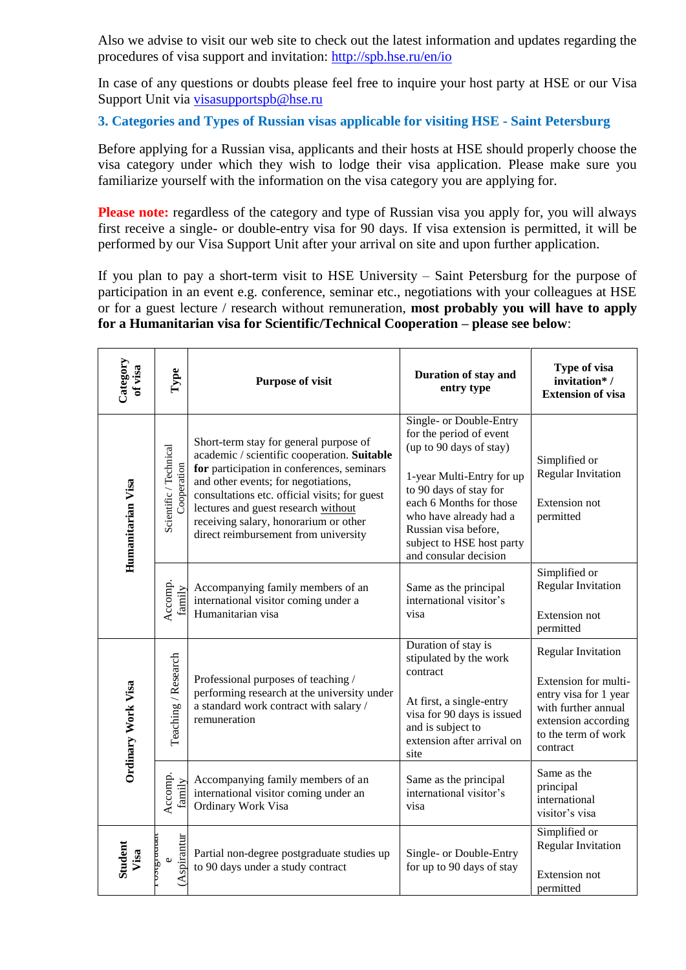Also we advise to visit our web site to check out the latest information and updates regarding the procedures of visa support and invitation:<http://spb.hse.ru/en/io>

In case of any questions or doubts please feel free to inquire your host party at HSE or our Visa Support Unit via [visasupportspb@hse.ru](mailto:visasupportspb@hse.ru)

**3. Categories and Types of Russian visas applicable for visiting HSE - Saint Petersburg**

Before applying for a Russian visa, applicants and their hosts at HSE should properly choose the visa category under which they wish to lodge their visa application. Please make sure you familiarize yourself with the information on the visa category you are applying for.

**Please note:** regardless of the category and type of Russian visa you apply for, you will always first receive a single- or double-entry visa for 90 days. If visa extension is permitted, it will be performed by our Visa Support Unit after your arrival on site and upon further application.

If you plan to pay a short-term visit to HSE University – Saint Petersburg for the purpose of participation in an event e.g. conference, seminar etc., negotiations with your colleagues at HSE or for a guest lecture / research without remuneration, **most probably you will have to apply for a Humanitarian visa for Scientific/Technical Cooperation – please see below**:

| Category<br>of visa | Type                                  | <b>Purpose of visit</b>                                                                                                                                                                                                                                                                                                                             | Duration of stay and<br>entry type                                                                                                                                                                                                                                      | Type of visa<br>invitation*/<br><b>Extension of visa</b>                                                                                                    |
|---------------------|---------------------------------------|-----------------------------------------------------------------------------------------------------------------------------------------------------------------------------------------------------------------------------------------------------------------------------------------------------------------------------------------------------|-------------------------------------------------------------------------------------------------------------------------------------------------------------------------------------------------------------------------------------------------------------------------|-------------------------------------------------------------------------------------------------------------------------------------------------------------|
| Humanitarian Visa   | Scientific / Technical<br>Cooperation | Short-term stay for general purpose of<br>academic / scientific cooperation. Suitable<br>for participation in conferences, seminars<br>and other events; for negotiations,<br>consultations etc. official visits; for guest<br>lectures and guest research without<br>receiving salary, honorarium or other<br>direct reimbursement from university | Single- or Double-Entry<br>for the period of event<br>(up to 90 days of stay)<br>1-year Multi-Entry for up<br>to 90 days of stay for<br>each 6 Months for those<br>who have already had a<br>Russian visa before,<br>subject to HSE host party<br>and consular decision | Simplified or<br><b>Regular Invitation</b><br><b>Extension not</b><br>permitted                                                                             |
|                     | Accomp.<br>family                     | Accompanying family members of an<br>international visitor coming under a<br>Humanitarian visa                                                                                                                                                                                                                                                      | Same as the principal<br>international visitor's<br>visa                                                                                                                                                                                                                | Simplified or<br><b>Regular Invitation</b><br>Extension not<br>permitted                                                                                    |
| Ordinary Work Visa  | Teaching / Research                   | Professional purposes of teaching /<br>performing research at the university under<br>a standard work contract with salary /<br>remuneration                                                                                                                                                                                                        | Duration of stay is<br>stipulated by the work<br>contract<br>At first, a single-entry<br>visa for 90 days is issued<br>and is subject to<br>extension after arrival on<br>site                                                                                          | <b>Regular Invitation</b><br>Extension for multi-<br>entry visa for 1 year<br>with further annual<br>extension according<br>to the term of work<br>contract |
|                     | Accomp.<br>family                     | Accompanying family members of an<br>international visitor coming under an<br>Ordinary Work Visa                                                                                                                                                                                                                                                    | Same as the principal<br>international visitor's<br>visa                                                                                                                                                                                                                | Same as the<br>principal<br>international<br>visitor's visa                                                                                                 |
| Student<br>Visa     | (Aspirantur<br>mrste<br>$\omega$      | Partial non-degree postgraduate studies up<br>to 90 days under a study contract                                                                                                                                                                                                                                                                     | Single- or Double-Entry<br>for up to 90 days of stay                                                                                                                                                                                                                    | Simplified or<br><b>Regular Invitation</b><br><b>Extension</b> not<br>permitted                                                                             |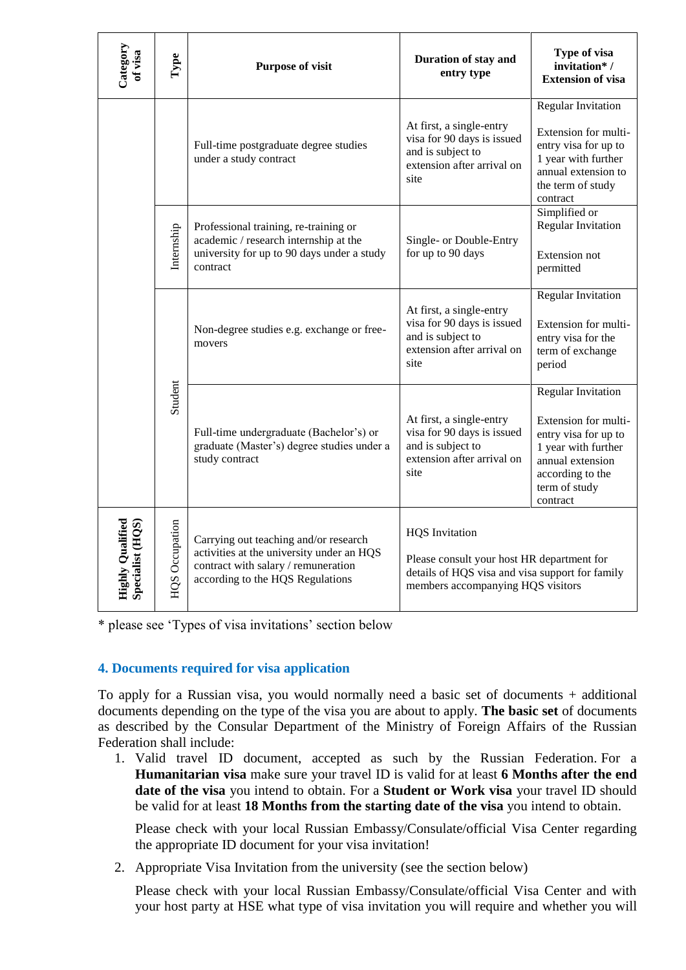| Category<br>of visa                         | Type                  | <b>Purpose of visit</b>                                                                                                                                       | Duration of stay and<br>entry type                                                                                                                          | Type of visa<br>invitation*/<br><b>Extension of visa</b>                                                                                                              |
|---------------------------------------------|-----------------------|---------------------------------------------------------------------------------------------------------------------------------------------------------------|-------------------------------------------------------------------------------------------------------------------------------------------------------------|-----------------------------------------------------------------------------------------------------------------------------------------------------------------------|
|                                             |                       | Full-time postgraduate degree studies<br>under a study contract                                                                                               | At first, a single-entry<br>visa for 90 days is issued<br>and is subject to<br>extension after arrival on<br>site                                           | <b>Regular Invitation</b><br>Extension for multi-<br>entry visa for up to<br>1 year with further<br>annual extension to<br>the term of study<br>contract              |
|                                             | Internship            | Professional training, re-training or<br>academic / research internship at the<br>university for up to 90 days under a study<br>contract                      | Single- or Double-Entry<br>for up to 90 days                                                                                                                | Simplified or<br><b>Regular Invitation</b><br>Extension not<br>permitted                                                                                              |
|                                             |                       | Non-degree studies e.g. exchange or free-<br>movers                                                                                                           | At first, a single-entry<br>visa for 90 days is issued<br>and is subject to<br>extension after arrival on<br>site                                           | <b>Regular Invitation</b><br>Extension for multi-<br>entry visa for the<br>term of exchange<br>period                                                                 |
|                                             | Student               | Full-time undergraduate (Bachelor's) or<br>graduate (Master's) degree studies under a<br>study contract                                                       | At first, a single-entry<br>visa for 90 days is issued<br>and is subject to<br>extension after arrival on<br>site                                           | <b>Regular Invitation</b><br>Extension for multi-<br>entry visa for up to<br>1 year with further<br>annual extension<br>according to the<br>term of study<br>contract |
| <b>Highly Qualified</b><br>Specialist (HQS) | <b>HQS</b> Occupation | Carrying out teaching and/or research<br>activities at the university under an HQS<br>contract with salary / remuneration<br>according to the HQS Regulations | <b>HQS</b> Invitation<br>Please consult your host HR department for<br>details of HQS visa and visa support for family<br>members accompanying HQS visitors |                                                                                                                                                                       |

\* please see 'Types of visa invitations' section below

# **4. Documents required for visa application**

To apply for a Russian visa, you would normally need a basic set of documents + additional documents depending on the type of the visa you are about to apply. **The basic set** of documents as described by the Consular Department of the Ministry of Foreign Affairs of the Russian Federation shall include:

1. Valid travel ID document, accepted as such by the Russian Federation. For a **Humanitarian visa** make sure your travel ID is valid for at least **6 Months after the end date of the visa** you intend to obtain. For a **Student or Work visa** your travel ID should be valid for at least **18 Months from the starting date of the visa** you intend to obtain.

Please check with your local Russian Embassy/Consulate/official Visa Center regarding the appropriate ID document for your visa invitation!

2. Appropriate Visa Invitation from the university (see the section below)

Please check with your local Russian Embassy/Consulate/official Visa Center and with your host party at HSE what type of visa invitation you will require and whether you will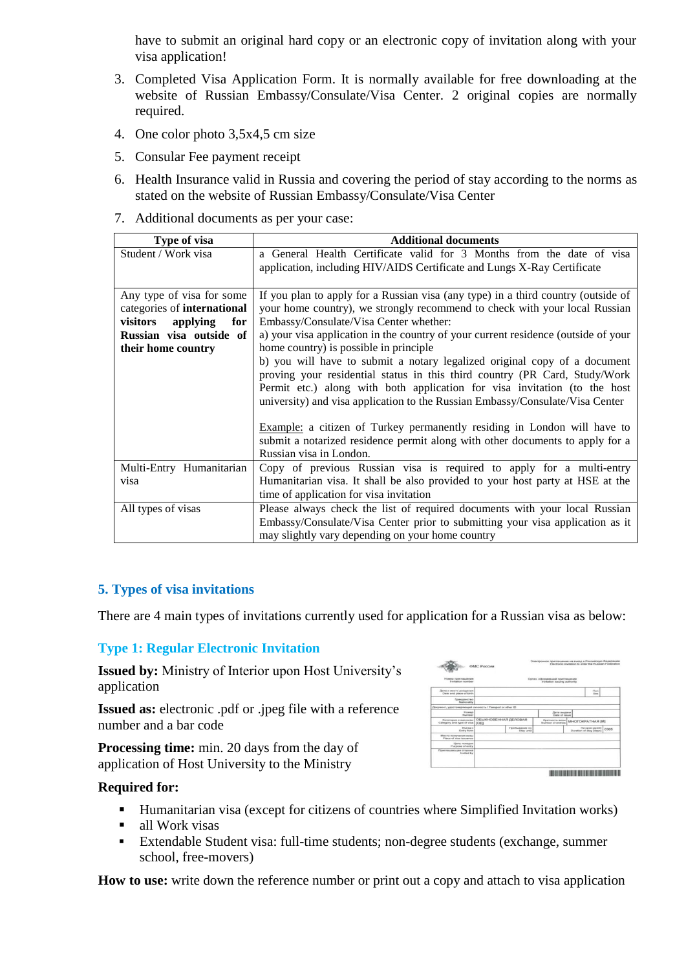have to submit an original hard copy or an electronic copy of invitation along with your visa application!

- 3. Completed Visa Application Form. It is normally available for free downloading at the website of Russian Embassy/Consulate/Visa Center. 2 original copies are normally required.
- 4. One color photo 3,5x4,5 cm size
- 5. Consular Fee payment receipt
- 6. Health Insurance valid in Russia and covering the period of stay according to the norms as stated on the website of Russian Embassy/Consulate/Visa Center
- 7. Additional documents as per your case:

| Type of visa                | <b>Additional documents</b>                                                        |
|-----------------------------|------------------------------------------------------------------------------------|
| Student / Work visa         | a General Health Certificate valid for 3 Months from the date of visa              |
|                             | application, including HIV/AIDS Certificate and Lungs X-Ray Certificate            |
|                             |                                                                                    |
| Any type of visa for some   | If you plan to apply for a Russian visa (any type) in a third country (outside of  |
| categories of international | your home country), we strongly recommend to check with your local Russian         |
| for<br>visitors<br>applying | Embassy/Consulate/Visa Center whether:                                             |
| Russian visa outside of     | a) your visa application in the country of your current residence (outside of your |
| their home country          | home country) is possible in principle                                             |
|                             | b) you will have to submit a notary legalized original copy of a document          |
|                             | proving your residential status in this third country (PR Card, Study/Work         |
|                             | Permit etc.) along with both application for visa invitation (to the host          |
|                             | university) and visa application to the Russian Embassy/Consulate/Visa Center      |
|                             |                                                                                    |
|                             | <b>Example:</b> a citizen of Turkey permanently residing in London will have to    |
|                             | submit a notarized residence permit along with other documents to apply for a      |
|                             | Russian visa in London.                                                            |
| Multi-Entry Humanitarian    | Copy of previous Russian visa is required to apply for a multi-entry               |
| visa                        | Humanitarian visa. It shall be also provided to your host party at HSE at the      |
|                             | time of application for visa invitation                                            |
| All types of visas          | Please always check the list of required documents with your local Russian         |
|                             | Embassy/Consulate/Visa Center prior to submitting your visa application as it      |
|                             | may slightly vary depending on your home country                                   |

#### **5. Types of visa invitations**

There are 4 main types of invitations currently used for application for a Russian visa as below:

#### **Type 1: Regular Electronic Invitation**

**Issued by:** Ministry of Interior upon Host University's application

**Issued as:** electronic .pdf or .jpeg file with a reference number and a bar code

**Processing time:** min. 20 days from the day of application of Host University to the Ministry



- Humanitarian visa (except for citizens of countries where Simplified Invitation works)
- **all Work visas**
- Extendable Student visa: full-time students; non-degree students (exchange, summer school, free-movers)

**How to use:** write down the reference number or print out a copy and attach to visa application

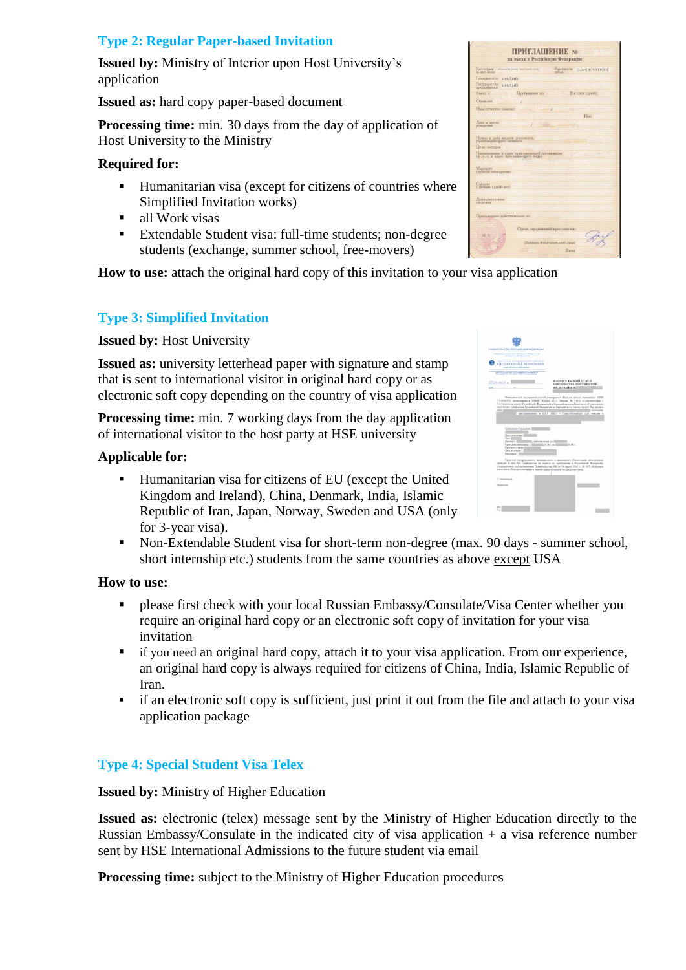# **Type 2: Regular Paper-based Invitation**

**Issued by:** Ministry of Interior upon Host University's application

**Issued as:** hard copy paper-based document

**Processing time:** min. 30 days from the day of application of Host University to the Ministry

### **Required for:**

- Humanitarian visa (except for citizens of countries where Simplified Invitation works)
- all Work visas
- Extendable Student visa: full-time students; non-degree students (exchange, summer school, free-movers)

**How to use:** attach the original hard copy of this invitation to your visa application

# **Type 3: Simplified Invitation**

**Issued by:** Host University

**Issued as:** university letterhead paper with signature and stamp that is sent to international visitor in original hard copy or as electronic soft copy depending on the country of visa application

**Processing time:** min. 7 working days from the day application of international visitor to the host party at HSE university

#### **Applicable for:**

- Humanitarian visa for citizens of EU (except the United Kingdom and Ireland), China, Denmark, India, Islamic Republic of Iran, Japan, Norway, Sweden and USA (only for 3-year visa).
- Non-Extendable Student visa for short-term non-degree (max. 90 days summer school, short internship etc.) students from the same countries as above except USA

# **How to use:**

- **PERITE:** please first check with your local Russian Embassy/Consulate/Visa Center whether you require an original hard copy or an electronic soft copy of invitation for your visa invitation
- if you need an original hard copy, attach it to your visa application. From our experience, an original hard copy is always required for citizens of China, India, Islamic Republic of Iran.
- if an electronic soft copy is sufficient, just print it out from the file and attach to your visa application package

# **Type 4: Special Student Visa Telex**

**Issued by:** Ministry of Higher Education

**Issued as:** electronic (telex) message sent by the Ministry of Higher Education directly to the Russian Embassy/Consulate in the indicated city of visa application  $+$  a visa reference number sent by HSE International Admissions to the future student via email

**Processing time:** subject to the Ministry of Higher Education procedures

| ПРИГЛАШЕНИЕ №<br>на въезд в Российскую Федерацию                                                                        |
|-------------------------------------------------------------------------------------------------------------------------|
| Kareropus<br>Критность<br>обыкновскими снарими отно-<br><b><i><u>OZHOKPATHAS</u></i></b><br><b>BRAZ BRANC</b><br>nativa |
| <b>Гоажданство</b><br>ИНДИЯ                                                                                             |
| Государство<br>проживания<br>индия                                                                                      |
| Пребывание по<br>Ha cook (zneň)<br>BEEXT C                                                                              |
| <b>Chastroom</b>                                                                                                        |
| Имя/отчество (имена)                                                                                                    |
| $\prod_{i\geq 1}$                                                                                                       |
| Лата и место<br><b>DOMONTHER</b>                                                                                        |
| Номер и дата выдачи документа,<br>удостовершощего личность                                                              |
| Llean noeamor                                                                                                           |
| Наименование и адрес приглашающей организации.<br>(Ф.,н.,о. и адрес приглашающего лица)                                 |
| Маршрут<br>(пункты посещения)                                                                                           |
| CACAVET<br>с детьми (до 16 лет)                                                                                         |
| Дополнительные<br>спеления                                                                                              |
| Приглашение действительно до                                                                                            |
| Орган, оформивший приглашение:<br>M-FL<br>Подпись должностного лица<br><b>Hama</b>                                      |

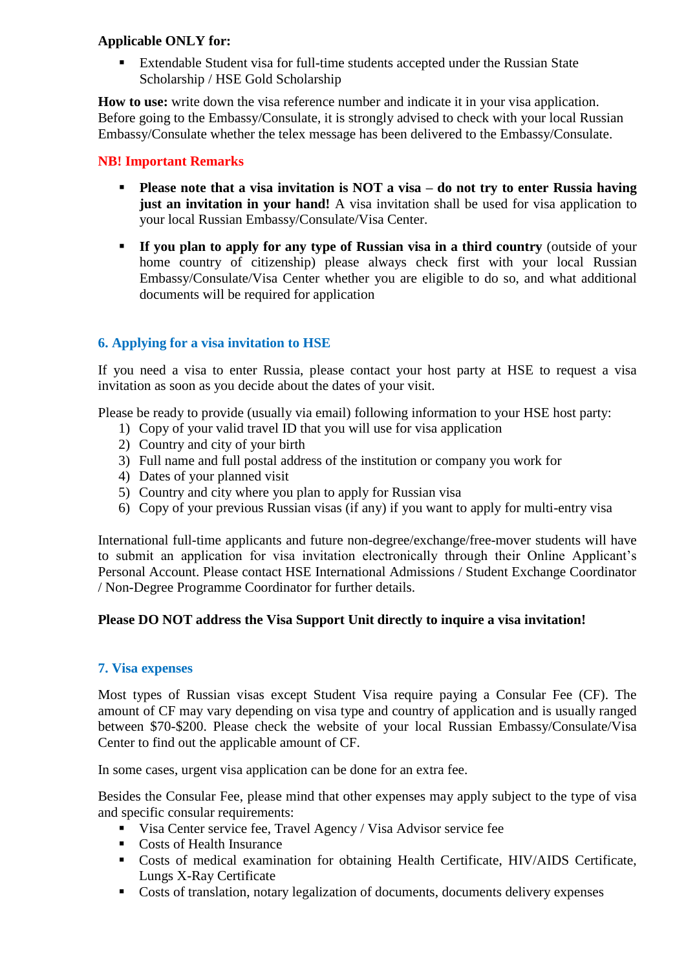### **Applicable ONLY for:**

 Extendable Student visa for full-time students accepted under the Russian State Scholarship / HSE Gold Scholarship

**How to use:** write down the visa reference number and indicate it in your visa application. Before going to the Embassy/Consulate, it is strongly advised to check with your local Russian Embassy/Consulate whether the telex message has been delivered to the Embassy/Consulate.

# **NB! Important Remarks**

- **Please note that a visa invitation is NOT a visa – do not try to enter Russia having just an invitation in your hand!** A visa invitation shall be used for visa application to your local Russian Embassy/Consulate/Visa Center.
- **If you plan to apply for any type of Russian visa in a third country** (outside of your home country of citizenship) please always check first with your local Russian Embassy/Consulate/Visa Center whether you are eligible to do so, and what additional documents will be required for application

# **6. Applying for a visa invitation to HSE**

If you need a visa to enter Russia, please contact your host party at HSE to request a visa invitation as soon as you decide about the dates of your visit.

Please be ready to provide (usually via email) following information to your HSE host party:

- 1) Copy of your valid travel ID that you will use for visa application
- 2) Country and city of your birth
- 3) Full name and full postal address of the institution or company you work for
- 4) Dates of your planned visit
- 5) Country and city where you plan to apply for Russian visa
- 6) Copy of your previous Russian visas (if any) if you want to apply for multi-entry visa

International full-time applicants and future non-degree/exchange/free-mover students will have to submit an application for visa invitation electronically through their Online Applicant's Personal Account. Please contact HSE International Admissions / Student Exchange Coordinator / Non-Degree Programme Coordinator for further details.

# **Please DO NOT address the Visa Support Unit directly to inquire a visa invitation!**

#### **7. Visa expenses**

Most types of Russian visas except Student Visa require paying a Consular Fee (CF). The amount of CF may vary depending on visa type and country of application and is usually ranged between \$70-\$200. Please check the website of your local Russian Embassy/Consulate/Visa Center to find out the applicable amount of CF.

In some cases, urgent visa application can be done for an extra fee.

Besides the Consular Fee, please mind that other expenses may apply subject to the type of visa and specific consular requirements:

- Visa Center service fee, Travel Agency / Visa Advisor service fee
- Costs of Health Insurance
- Costs of medical examination for obtaining Health Certificate, HIV/AIDS Certificate, Lungs X-Ray Certificate
- Costs of translation, notary legalization of documents, documents delivery expenses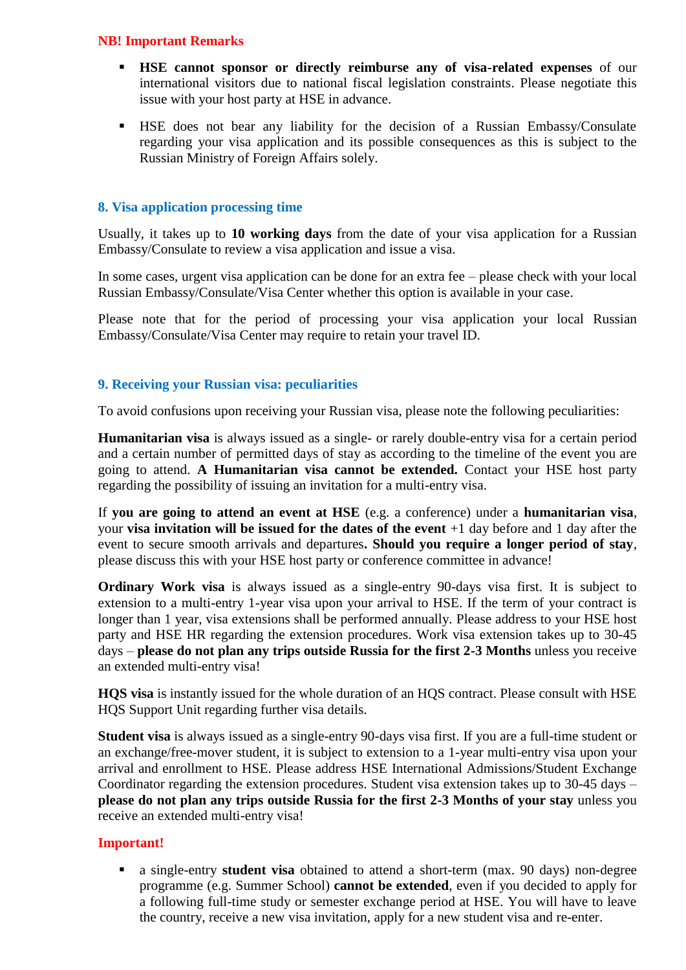#### **NB! Important Remarks**

- **HSE cannot sponsor or directly reimburse any of visa-related expenses** of our international visitors due to national fiscal legislation constraints. Please negotiate this issue with your host party at HSE in advance.
- HSE does not bear any liability for the decision of a Russian Embassy/Consulate regarding your visa application and its possible consequences as this is subject to the Russian Ministry of Foreign Affairs solely.

# **8. Visa application processing time**

Usually, it takes up to **10 working days** from the date of your visa application for a Russian Embassy/Consulate to review a visa application and issue a visa.

In some cases, urgent visa application can be done for an extra fee – please check with your local Russian Embassy/Consulate/Visa Center whether this option is available in your case.

Please note that for the period of processing your visa application your local Russian Embassy/Consulate/Visa Center may require to retain your travel ID.

# **9. Receiving your Russian visa: peculiarities**

To avoid confusions upon receiving your Russian visa, please note the following peculiarities:

**Humanitarian visa** is always issued as a single- or rarely double-entry visa for a certain period and a certain number of permitted days of stay as according to the timeline of the event you are going to attend. **A Humanitarian visa cannot be extended.** Contact your HSE host party regarding the possibility of issuing an invitation for a multi-entry visa.

If **you are going to attend an event at HSE** (e.g. a conference) under a **humanitarian visa**, your **visa invitation will be issued for the dates of the event** +1 day before and 1 day after the event to secure smooth arrivals and departures**. Should you require a longer period of stay**, please discuss this with your HSE host party or conference committee in advance!

**Ordinary Work visa** is always issued as a single-entry 90-days visa first. It is subject to extension to a multi-entry 1-year visa upon your arrival to HSE. If the term of your contract is longer than 1 year, visa extensions shall be performed annually. Please address to your HSE host party and HSE HR regarding the extension procedures. Work visa extension takes up to 30-45 days – **please do not plan any trips outside Russia for the first 2-3 Months** unless you receive an extended multi-entry visa!

**HQS visa** is instantly issued for the whole duration of an HQS contract. Please consult with HSE HQS Support Unit regarding further visa details.

**Student visa** is always issued as a single-entry 90-days visa first. If you are a full-time student or an exchange/free-mover student, it is subject to extension to a 1-year multi-entry visa upon your arrival and enrollment to HSE. Please address HSE International Admissions/Student Exchange Coordinator regarding the extension procedures. Student visa extension takes up to 30-45 days – **please do not plan any trips outside Russia for the first 2-3 Months of your stay** unless you receive an extended multi-entry visa!

# **Important!**

 a single-entry **student visa** obtained to attend a short-term (max. 90 days) non-degree programme (e.g. Summer School) **cannot be extended**, even if you decided to apply for a following full-time study or semester exchange period at HSE. You will have to leave the country, receive a new visa invitation, apply for a new student visa and re-enter.